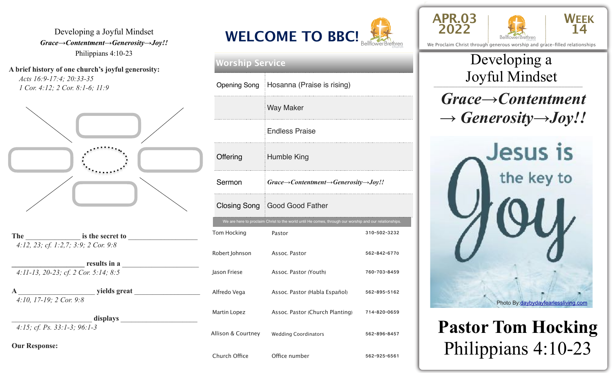Developing a Joyful Mindset *Grace→Contentment→Generosity→Joy!!*  Philippians 4:10-23

**A brief history of one church's joyful generosity:**  *Acts 16:9-17:4; 20:33-35 1 Cor. 4:12; 2 Cor. 8:1-6; 11:9*



The **is the secret to** *4:12, 23; cf. 1:2,7; 3:9; 2 Cor. 9:8* 

results in a *4:11-13, 20-23; cf. 2 Cor. 5:14; 8:5* 

 $\bf{ yields~great}$ *4:10, 17-19; 2 Cor. 9:8* 

displays *4:15; cf. Ps. 33:1-3; 96:1-3* 

**Our Response:**



| <b>Worship Service</b>          |                                                                                                  |                                                                                                       |              |  |  |
|---------------------------------|--------------------------------------------------------------------------------------------------|-------------------------------------------------------------------------------------------------------|--------------|--|--|
|                                 |                                                                                                  | Opening Song   Hosanna (Praise is rising)                                                             |              |  |  |
|                                 |                                                                                                  | <b>Way Maker</b>                                                                                      |              |  |  |
| <b>Endless Praise</b>           |                                                                                                  |                                                                                                       |              |  |  |
|                                 | Offering                                                                                         | Humble King                                                                                           |              |  |  |
|                                 | $\exists$ Grace $\rightarrow$ Contentment $\rightarrow$ Generosity $\rightarrow$ Joy!!<br>Sermon |                                                                                                       |              |  |  |
| Closing Song   Good Good Father |                                                                                                  |                                                                                                       |              |  |  |
|                                 |                                                                                                  | We are here to proclaim Christ to the world until He comes, through our worship and our relationships |              |  |  |
|                                 | Tom Hocking                                                                                      | Pastor                                                                                                | 310-502-3232 |  |  |
|                                 | Robert Johnson                                                                                   | Assoc. Pastor                                                                                         | 562-842-6770 |  |  |
| Jason Friese                    |                                                                                                  | Assoc. Pastor (Youth)                                                                                 | 760-703-8459 |  |  |
|                                 | Alfredo Vega                                                                                     | Assoc. Pastor (Habla Español)                                                                         | 562-895-5162 |  |  |
|                                 | Martin Lopez                                                                                     | Assoc. Pastor (Church Planting)                                                                       | 714-820-0659 |  |  |
| Allison & Courtney              |                                                                                                  | <b>Wedding Coordinators</b>                                                                           | 562-896-8457 |  |  |
|                                 | Church Office                                                                                    | Office number                                                                                         | 562-925-6561 |  |  |





We Proclaim Christ through generous worship and grace-filled relationships

### \_\_\_\_\_\_\_\_\_\_\_\_\_\_\_\_\_\_\_\_\_\_\_\_\_\_\_\_\_\_\_\_\_\_\_\_\_\_\_\_\_\_\_\_\_\_\_\_\_ Joyful Mindset Developing a

*Grace→Contentment → Generosity→Joy!!*



**Pastor Tom Hocking**  Philippians 4:10-23